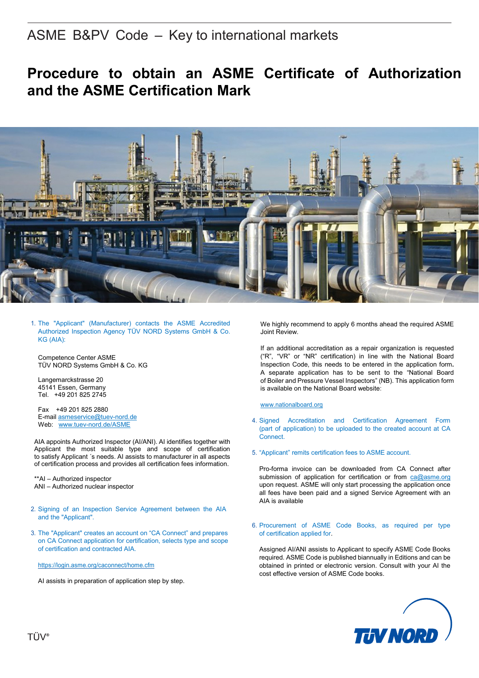## ASME B&PV Code – Key to international markets

# **Procedure to obtain an ASME Certificate of Authorization and the ASME Certification Mark**



1. The "Applicant" (Manufacturer) contacts the ASME Accredited Authorized Inspection Agency TÜV NORD Systems GmbH & Co. KG (AIA):

Competence Center ASME TÜV NORD Systems GmbH & Co. KG

Langemarckstrasse 20 45141 Essen, Germany Tel. +49 201 825 2745

Fax +49 201 825 2880 E-mai[l asmeservice@tuev-nord.de](mailto:asmeservice@tuev-nord.de) Web: [www.tuev-nord.de/ASME](http://www.tuev-nord.de/ASME)

AIA appoints Authorized Inspector (AI/ANI). AI identifies together with Applicant the most suitable type and scope of certification to satisfy Applicant ´s needs. AI assists to manufacturer in all aspects of certification process and provides all certification fees information.

\*\*AI – Authorized inspector ANI – Authorized nuclear inspector

- 2. Signing of an Inspection Service Agreement between the AIA and the "Applicant".
- 3. The "Applicant" creates an account on "CA Connect" and prepares on CA Connect application for certification, selects type and scope of certification and contracted AIA.

https://login.asme.org/caconnect/home.cfm

AI assists in preparation of application step by step.

We highly recommend to apply 6 months ahead the required ASME Joint Review.

If an additional accreditation as a repair organization is requested ("[R](http://www.nationalboard.org/index.aspx?pageID=115&ID=160)", "[VR](http://www.nationalboard.org/Index.aspx?pageID=115&ID=161)" or "[NR](http://www.nationalboard.org/Index.aspx?pageID=115&ID=162)" certification) in line with the National Board Inspection Code, this needs to be entered in the [application form](https://www.asme.org/wwwasmeorg/media/ResourceFiles/Shop/Certification%20&%20Accreditation/BPV-Certification/BPV-Certification_Additional-Information_Notice-Concerning-National-Board-R-Stamp.pdf)**.** A separate application has to be sent to the "National Board of Boiler and Pressure Vessel Inspectors" (NB). This [application form](http://www.nationalboard.org/Index.aspx?pageID=115&ID=161) is available on the National Board website:

### [www.nationalboard.org](http://www.nationalboard.org/)

- 4. Signed Accreditation and Certification Agreement Form (part of application) to be uploaded to the created account at CA Connect.
- 5. "Applicant" remits certification fees to ASME account.

Pro-forma invoice can be downloaded from CA Connect after submission of application for certification or from [ca@asme.org](mailto:ca@asme.org) upon request. ASME will only start processing the application once all [fees](https://www.asme.org/shop/certification-accreditation/price-guide) have been paid and a signed Service Agreement with an AIA is available

6. Procurement of ASME Code Books, as required per type of certification applied for.

Assigned AI/ANI assists to Applicant to specify ASME Code Books required. ASME Code is published biannually in Editions and can be obtained in printed or electronic version. Consult with your AI the cost effective version of ASME Code books.